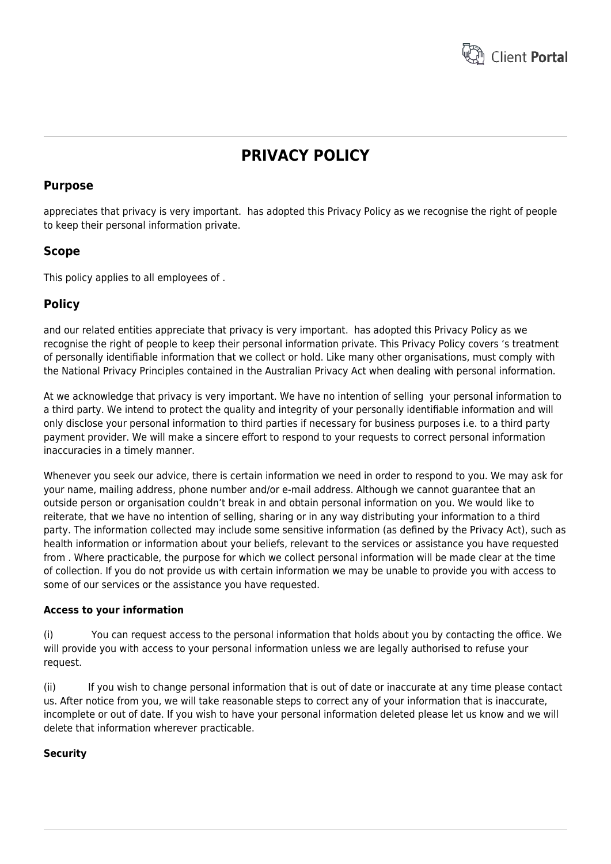

# **PRIVACY POLICY**

## **Purpose**

appreciates that privacy is very important. has adopted this Privacy Policy as we recognise the right of people to keep their personal information private.

## **Scope**

This policy applies to all employees of .

# **Policy**

and our related entities appreciate that privacy is very important. has adopted this Privacy Policy as we recognise the right of people to keep their personal information private. This Privacy Policy covers 's treatment of personally identifiable information that we collect or hold. Like many other organisations, must comply with the National Privacy Principles contained in the Australian Privacy Act when dealing with personal information.

At we acknowledge that privacy is very important. We have no intention of selling your personal information to a third party. We intend to protect the quality and integrity of your personally identifiable information and will only disclose your personal information to third parties if necessary for business purposes i.e. to a third party payment provider. We will make a sincere effort to respond to your requests to correct personal information inaccuracies in a timely manner.

Whenever you seek our advice, there is certain information we need in order to respond to you. We may ask for your name, mailing address, phone number and/or e-mail address. Although we cannot guarantee that an outside person or organisation couldn't break in and obtain personal information on you. We would like to reiterate, that we have no intention of selling, sharing or in any way distributing your information to a third party. The information collected may include some sensitive information (as defined by the Privacy Act), such as health information or information about your beliefs, relevant to the services or assistance you have requested from . Where practicable, the purpose for which we collect personal information will be made clear at the time of collection. If you do not provide us with certain information we may be unable to provide you with access to some of our services or the assistance you have requested.

## **Access to your information**

(i) You can request access to the personal information that holds about you by contacting the office. We will provide you with access to your personal information unless we are legally authorised to refuse your request.

(ii) If you wish to change personal information that is out of date or inaccurate at any time please contact us. After notice from you, we will take reasonable steps to correct any of your information that is inaccurate, incomplete or out of date. If you wish to have your personal information deleted please let us know and we will delete that information wherever practicable.

## **Security**